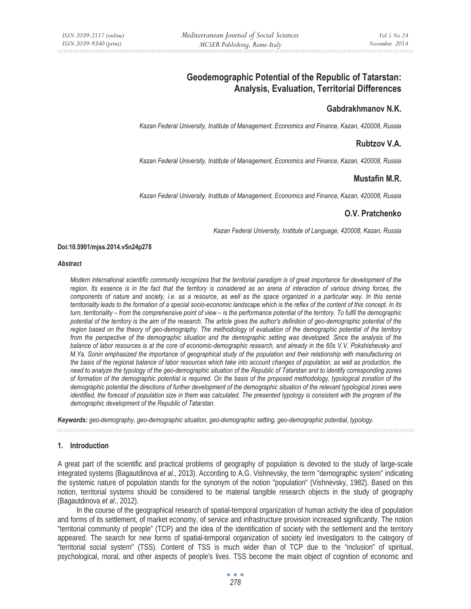# **Geodemographic Potential of the Republic of Tatarstan: Analysis, Evaluation, Territorial Differences**

# **Gabdrakhmanov N.K.**

*Kazan Federal University, Institute of Management, Economics and Finance, Kazan, 420008, Russia* 

# **Rubtzov V.A.**

*Kazan Federal University, Institute of Management, Economics and Finance, Kazan, 420008, Russia* 

### **Mustafin M.R.**

*Kazan Federal University, Institute of Management, Economics and Finance, Kazan, 420008, Russia* 

# **O.V. Pratchenko**

*Kazan Federal University, Institute of Language, 420008, Kazan, Russia* 

#### **Doi:10.5901/mjss.2014.v5n24p278**

#### *Abstract*

*Modern international scientific community recognizes that the territorial paradigm is of great importance for development of the region. Its essence is in the fact that the territory is considered as an arena of interaction of various driving forces, the components of nature and society, i.e. as a resource, as well as the space organized in a particular way. In this sense territoriality leads to the formation of a special socio-economic landscape which is the reflex of the content of this concept. In its turn, territoriality – from the comprehensive point of view – is the performance potential of the territory. To fulfil the demographic potential of the territory is the aim of the research. The article gives the author's definition of geo-demographic potential of the region based on the theory of geo-demography. The methodology of evaluation of the demographic potential of the territory*  from the perspective of the demographic situation and the demographic setting was developed. Since the analysis of the *balance of labor resources is at the core of economic-demographic research, and already in the 60s V.V. Pokshishevsky and M.Ya. Sonin emphasized the importance of geographical study of the population and their relationship with manufacturing on the basis of the regional balance of labor resources which take into account changes of population, as well as production, the need to analyze the typology of the geo-demographic situation of the Republic of Tatarstan and to identify corresponding zones of formation of the demographic potential is required. On the basis of the proposed methodology, typological zonation of the demographic potential the directions of further development of the demographic situation of the relevant typological zones were identified, the forecast of population size in them was calculated. The presented typology is consistent with the program of the demographic development of the Republic of Tatarstan.* 

*Keywords: geo-demography, geo-demographic situation, geo-demographic setting, geo-demographic potential, typology.*

### **1. Introduction**

A great part of the scientific and practical problems of geography of population is devoted to the study of large-scale integrated systems (Bagautdinova *et al*., 2013). According to A.G. Vishnevsky, the term "demographic system" indicating the systemic nature of population stands for the synonym of the notion "population" (Vishnevsky, 1982). Based on this notion, territorial systems should be considered to be material tangible research objects in the study of geography (Bagautdinova *et al*., 2012).

In the course of the geographical research of spatial-temporal organization of human activity the idea of population and forms of its settlement, of market economy, of service and infrastructure provision increased significantly. The notion "territorial community of people" (TCP) and the idea of the identification of society with the settlement and the territory appeared. The search for new forms of spatial-temporal organization of society led investigators to the category of "territorial social system" (TSS). Content of TSS is much wider than of TCP due to the "inclusion" of spiritual, psychological, moral, and other aspects of people's lives. TSS become the main object of cognition of economic and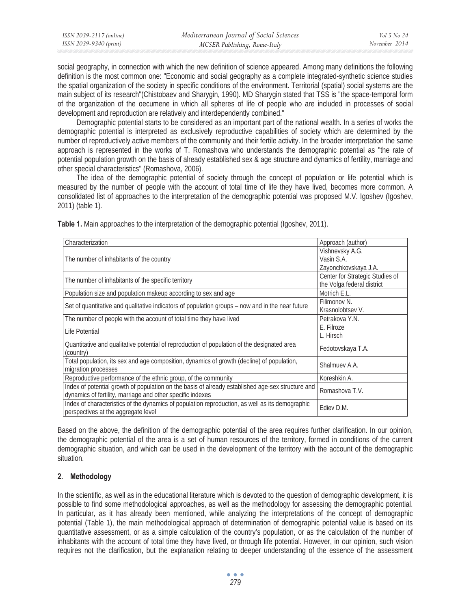| ISSN 2039-2117 (online) | Mediterranean Journal of Social Sciences | Vol 5 No 24   |
|-------------------------|------------------------------------------|---------------|
| ISSN 2039-9340 (print)  | MCSER Publishing, Rome-Italy             | November 2014 |

social geography, in connection with which the new definition of science appeared. Among many definitions the following definition is the most common one: "Economic and social geography as a complete integrated-synthetic science studies the spatial organization of the society in specific conditions of the environment. Territorial (spatial) social systems are the main subject of its research"(Chistobaev and Sharygin, 1990). MD Sharygin stated that TSS is "the space-temporal form of the organization of the oecumene in which all spheres of life of people who are included in processes of social development and reproduction are relatively and interdependently combined."

Demographic potential starts to be considered as an important part of the national wealth. In a series of works the demographic potential is interpreted as exclusively reproductive capabilities of society which are determined by the number of reproductively active members of the community and their fertile activity. In the broader interpretation the same approach is represented in the works of T. Romashova who understands the demographic potential as "the rate of potential population growth on the basis of already established sex & age structure and dynamics of fertility, marriage and other special characteristics" (Romashova, 2006).

The idea of the demographic potential of society through the concept of population or life potential which is measured by the number of people with the account of total time of life they have lived, becomes more common. A consolidated list of approaches to the interpretation of the demographic potential was proposed M.V. Igoshev (Igoshev, 2011) (table 1).

| Characterization                                                                                  | Approach (author)               |
|---------------------------------------------------------------------------------------------------|---------------------------------|
|                                                                                                   | Vishnevsky A.G.                 |
| The number of inhabitants of the country                                                          | Vasin S.A.                      |
|                                                                                                   | Zayonchkovskaya J.A.            |
| The number of inhabitants of the specific territory                                               | Center for Strategic Studies of |
|                                                                                                   | the Volga federal district      |
| Population size and population makeup according to sex and age                                    | Motrich E.L.                    |
| Set of quantitative and qualitative indicators of population groups - now and in the near future  | Filimonov <sub>N.</sub>         |
|                                                                                                   | Krasnolobtsev V.                |
| The number of people with the account of total time they have lived                               | Petrakova Y.N.                  |
| Life Potential                                                                                    | E. Filroze                      |
|                                                                                                   | L. Hirsch                       |
| Quantitative and qualitative potential of reproduction of population of the designated area       | Fedotovskaya T.A.               |
| (country)                                                                                         |                                 |
| Total population, its sex and age composition, dynamics of growth (decline) of population,        | Shalmuev A.A.                   |
| migration processes                                                                               |                                 |
| Reproductive performance of the ethnic group, of the community                                    | Koreshkin A.                    |
| Index of potential growth of population on the basis of already established age-sex structure and | Romashova T.V.                  |
| dynamics of fertility, marriage and other specific indexes                                        |                                 |
| Index of characteristics of the dynamics of population reproduction, as well as its demographic   | Ediev D.M.                      |
| perspectives at the aggregate level                                                               |                                 |

Table 1. Main approaches to the interpretation of the demographic potential (Igoshev, 2011).

Based on the above, the definition of the demographic potential of the area requires further clarification. In our opinion, the demographic potential of the area is a set of human resources of the territory, formed in conditions of the current demographic situation, and which can be used in the development of the territory with the account of the demographic situation.

### **2. Methodology**

In the scientific, as well as in the educational literature which is devoted to the question of demographic development, it is possible to find some methodological approaches, as well as the methodology for assessing the demographic potential. In particular, as it has already been mentioned, while analyzing the interpretations of the concept of demographic potential (Table 1), the main methodological approach of determination of demographic potential value is based on its quantitative assessment, or as a simple calculation of the country's population, or as the calculation of the number of inhabitants with the account of total time they have lived, or through life potential. However, in our opinion, such vision requires not the clarification, but the explanation relating to deeper understanding of the essence of the assessment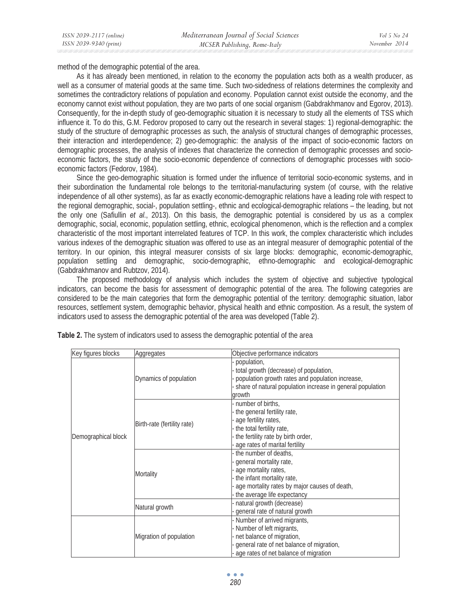method of the demographic potential of the area.

As it has already been mentioned, in relation to the economy the population acts both as a wealth producer, as well as a consumer of material goods at the same time. Such two-sidedness of relations determines the complexity and sometimes the contradictory relations of population and economy. Population cannot exist outside the economy, and the economy cannot exist without population, they are two parts of one social organism (Gabdrakhmanov and Egorov, 2013). Consequently, for the in-depth study of geo-demographic situation it is necessary to study all the elements of TSS which influence it. To do this, G.M. Fedorov proposed to carry out the research in several stages: 1) regional-demographic: the study of the structure of demographic processes as such, the analysis of structural changes of demographic processes, their interaction and interdependence; 2) geo-demographic: the analysis of the impact of socio-economic factors on demographic processes, the analysis of indexes that characterize the connection of demographic processes and socioeconomic factors, the study of the socio-economic dependence of connections of demographic processes with socioeconomic factors (Fedorov, 1984).

Since the geo-demographic situation is formed under the influence of territorial socio-economic systems, and in their subordination the fundamental role belongs to the territorial-manufacturing system (of course, with the relative independence of all other systems), as far as exactly economic-demographic relations have a leading role with respect to the regional demographic, social-, population settling-, ethnic and ecological-demographic relations – the leading, but not the only one (Safiullin *et al*., 2013). On this basis, the demographic potential is considered by us as a complex demographic, social, economic, population settling, ethnic, ecological phenomenon, which is the reflection and a complex characteristic of the most important interrelated features of TCP. In this work, the complex characteristic which includes various indexes of the demographic situation was offered to use as an integral measurer of demographic potential of the territory. In our opinion, this integral measurer consists of six large blocks: demographic, economic-demographic, population settling and demographic, socio-demographic, ethno-demographic and ecological-demographic (Gabdrakhmanov and Rubtzov, 2014).

The proposed methodology of analysis which includes the system of objective and subjective typological indicators, can become the basis for assessment of demographic potential of the area. The following categories are considered to be the main categories that form the demographic potential of the territory: demographic situation, labor resources, settlement system, demographic behavior, physical health and ethnic composition. As a result, the system of indicators used to assess the demographic potential of the area was developed (Table 2).

| Key figures blocks  | Aggregates                  | Objective performance indicators                                                                                                                                                       |
|---------------------|-----------------------------|----------------------------------------------------------------------------------------------------------------------------------------------------------------------------------------|
| Demographical block | Dynamics of population      | population,<br>total growth (decrease) of population,<br>population growth rates and population increase,<br>share of natural population increase in general population<br>arowth      |
|                     | Birth-rate (fertility rate) | number of births,<br>the general fertility rate,<br>age fertility rates,<br>the total fertility rate,<br>the fertility rate by birth order,<br>age rates of marital fertility          |
|                     | Mortality                   | the number of deaths,<br>general mortality rate,<br>age mortality rates,<br>the infant mortality rate,<br>age mortality rates by major causes of death,<br>the average life expectancy |
|                     | Natural growth              | natural growth (decrease)<br>general rate of natural growth                                                                                                                            |
|                     | Migration of population     | Number of arrived migrants,<br>Number of left migrants,<br>net balance of migration,<br>general rate of net balance of migration,<br>age rates of net balance of migration             |

**Table 2.** The system of indicators used to assess the demographic potential of the area

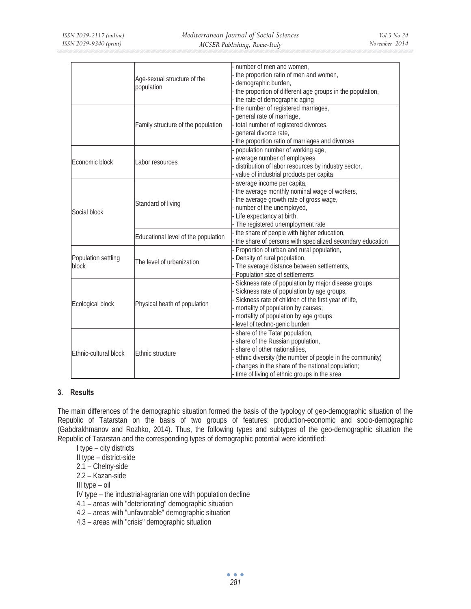|                       |                                           | number of men and women,                                  |
|-----------------------|-------------------------------------------|-----------------------------------------------------------|
|                       | Age-sexual structure of the<br>population | the proportion ratio of men and women,                    |
|                       |                                           | demographic burden,                                       |
|                       |                                           | the proportion of different age groups in the population, |
|                       |                                           | the rate of demographic aging                             |
|                       |                                           | the number of registered marriages,                       |
|                       |                                           | general rate of marriage,                                 |
|                       | Family structure of the population        | total number of registered divorces,                      |
|                       |                                           | general divorce rate,                                     |
|                       |                                           | the proportion ratio of marriages and divorces            |
|                       |                                           | population number of working age,                         |
| Economic block        | Labor resources                           | average number of employees,                              |
|                       |                                           | distribution of labor resources by industry sector,       |
|                       |                                           | value of industrial products per capita                   |
|                       |                                           | average income per capita,                                |
|                       |                                           | the average monthly nominal wage of workers,              |
|                       |                                           | the average growth rate of gross wage,                    |
|                       | Standard of living                        | number of the unemployed,                                 |
| Social block          |                                           | Life expectancy at birth,                                 |
|                       |                                           | The registered unemployment rate                          |
|                       |                                           | the share of people with higher education,                |
|                       | Educational level of the population       | the share of persons with specialized secondary education |
|                       | The level of urbanization                 | Proportion of urban and rural population,                 |
| Population settling   |                                           | Density of rural population,                              |
| block                 |                                           | The average distance between settlements,                 |
|                       |                                           | Population size of settlements                            |
|                       | Physical heath of population              | Sickness rate of population by major disease groups       |
|                       |                                           | Sickness rate of population by age groups,                |
| Ecological block      |                                           | Sickness rate of children of the first year of life,      |
|                       |                                           | mortality of population by causes;                        |
|                       |                                           | mortality of population by age groups                     |
|                       |                                           | level of techno-genic burden                              |
| Ethnic-cultural block | Ethnic structure                          | share of the Tatar population,                            |
|                       |                                           | share of the Russian population,                          |
|                       |                                           | share of other nationalities,                             |
|                       |                                           | ethnic diversity (the number of people in the community)  |
|                       |                                           | changes in the share of the national population;          |
|                       |                                           | time of living of ethnic groups in the area               |

### **3. Results**

The main differences of the demographic situation formed the basis of the typology of geo-demographic situation of the Republic of Tatarstan on the basis of two groups of features: production-economic and socio-demographic (Gabdrakhmanov and Rozhko, 2014). Thus, the following types and subtypes of the geo-demographic situation the Republic of Tatarstan and the corresponding types of demographic potential were identified:

I type – city districts II type – district-side 2.1 – Chelny-side 2.2 – Kazan-side III type – oil IV type – the industrial-agrarian one with population decline 4.1 – areas with "deteriorating" demographic situation 4.2 – areas with "unfavorable" demographic situation 4.3 – areas with "crisis" demographic situation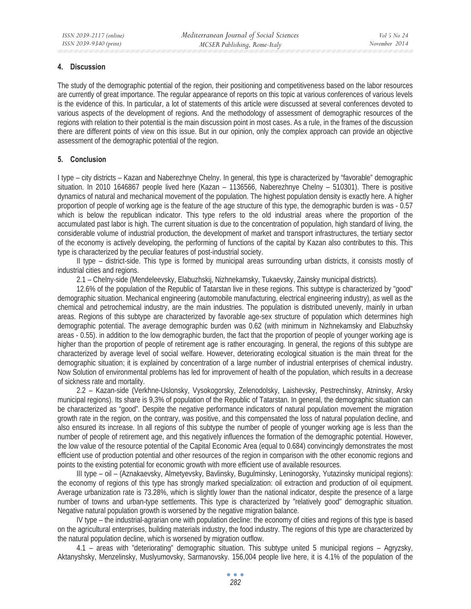### **4. Discussion**

The study of the demographic potential of the region, their positioning and competitiveness based on the labor resources are currently of great importance. The regular appearance of reports on this topic at various conferences of various levels is the evidence of this. In particular, a lot of statements of this article were discussed at several conferences devoted to various aspects of the development of regions. And the methodology of assessment of demographic resources of the regions with relation to their potential is the main discussion point in most cases. As a rule, in the frames of the discussion there are different points of view on this issue. But in our opinion, only the complex approach can provide an objective assessment of the demographic potential of the region.

### **5. Conclusion**

I type – city districts – Kazan and Naberezhnye Chelny. In general, this type is characterized by "favorable" demographic situation. In 2010 1646867 people lived here (Kazan – 1136566, Naberezhnye Chelny – 510301). There is positive dynamics of natural and mechanical movement of the population. The highest population density is exactly here. A higher proportion of people of working age is the feature of the age structure of this type, the demographic burden is was - 0.57 which is below the republican indicator. This type refers to the old industrial areas where the proportion of the accumulated past labor is high. The current situation is due to the concentration of population, high standard of living, the considerable volume of industrial production, the development of market and transport infrastructures, the tertiary sector of the economy is actively developing, the performing of functions of the capital by Kazan also contributes to this. This type is characterized by the peculiar features of post-industrial society.

II type – district-side. This type is formed by municipal areas surrounding urban districts, it consists mostly of industrial cities and regions.

2.1 – Chelny-side (Mendeleevsky, Elabuzhskij, Nizhnekamsky, Tukaevsky, Zainsky municipal districts).

12.6% of the population of the Republic of Tatarstan live in these regions. This subtype is characterized by "good" demographic situation. Mechanical engineering (automobile manufacturing, electrical engineering industry), as well as the chemical and petrochemical industry, are the main industries. The population is distributed unevenly, mainly in urban areas. Regions of this subtype are characterized by favorable age-sex structure of population which determines high demographic potential. The average demographic burden was 0.62 (with minimum in Nizhnekamsky and Elabuzhsky areas - 0.55). in addition to the low demographic burden, the fact that the proportion of people of younger working age is higher than the proportion of people of retirement age is rather encouraging. In general, the regions of this subtype are characterized by average level of social welfare. However, deteriorating ecological situation is the main threat for the demographic situation; it is explained by concentration of a large number of industrial enterprises of chemical industry. Now Solution of environmental problems has led for improvement of health of the population, which results in a decrease of sickness rate and mortality.

2.2 – Kazan-side (Verkhne-Uslonsky, Vysokogorsky, Zelenodolsky, Laishevsky, Pestrechinsky, Atninsky, Arsky municipal regions). Its share is 9,3% of population of the Republic of Tatarstan. In general, the demographic situation can be characterized as "good". Despite the negative performance indicators of natural population movement the migration growth rate in the region, on the contrary, was positive, and this compensated the loss of natural population decline, and also ensured its increase. In all regions of this subtype the number of people of younger working age is less than the number of people of retirement age, and this negatively influences the formation of the demographic potential. However, the low value of the resource potential of the Capital Economic Area (equal to 0.684) convincingly demonstrates the most efficient use of production potential and other resources of the region in comparison with the other economic regions and points to the existing potential for economic growth with more efficient use of available resources.

III type – oil – (Aznakaevsky, Almetyevsky, Bavlinsky, Bugulminsky, Leninogorsky, Yutazinsky municipal regions): the economy of regions of this type has strongly marked specialization: oil extraction and production of oil equipment. Average urbanization rate is 73.28%, which is slightly lower than the national indicator, despite the presence of a large number of towns and urban-type settlements. This type is characterized by "relatively good" demographic situation. Negative natural population growth is worsened by the negative migration balance.

IV type – the industrial-agrarian one with population decline: the economy of cities and regions of this type is based on the agricultural enterprises, building materials industry, the food industry. The regions of this type are characterized by the natural population decline, which is worsened by migration outflow.

4.1 – areas with "deteriorating" demographic situation. This subtype united 5 municipal regions – Agryzsky, Aktanyshsky, Menzelinsky, Muslyumovsky, Sarmanovsky. 156,004 people live here, it is 4.1% of the population of the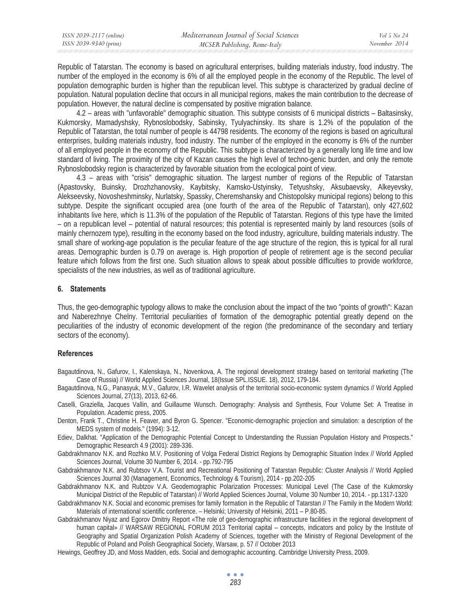| ISSN 2039-2117 (online) | Mediterranean Journal of Social Sciences | Vol 5 No 24   |
|-------------------------|------------------------------------------|---------------|
| ISSN 2039-9340 (print)  | MCSER Publishing, Rome-Italy             | November 2014 |

Republic of Tatarstan. The economy is based on agricultural enterprises, building materials industry, food industry. The number of the employed in the economy is 6% of all the employed people in the economy of the Republic. The level of population demographic burden is higher than the republican level. This subtype is characterized by gradual decline of population. Natural population decline that occurs in all municipal regions, makes the main contribution to the decrease of population. However, the natural decline is compensated by positive migration balance.

4.2 – areas with "unfavorable" demographic situation. This subtype consists of 6 municipal districts – Baltasinsky, Kukmorsky, Mamadyshsky, Rybnoslobodsky, Sabinsky, Tyulyachinsky. Its share is 1.2% of the population of the Republic of Tatarstan, the total number of people is 44798 residents. The economy of the regions is based on agricultural enterprises, building materials industry, food industry. The number of the employed in the economy is 6% of the number of all employed people in the economy of the Republic. This subtype is characterized by a generally long life time and low standard of living. The proximity of the city of Kazan causes the high level of techno-genic burden, and only the remote Rybnoslobodsky region is characterized by favorable situation from the ecological point of view.

4.3 – areas with "crisis" demographic situation. The largest number of regions of the Republic of Tatarstan (Apastovsky, Buinsky, Drozhzhanovsky, Kaybitsky, Kamsko-Ustyinsky, Tetyushsky, Aksubaevsky, Alkeyevsky, Alekseevsky, Novosheshminsky, Nurlatsky, Spassky, Cheremshansky and Chistopolsky municipal regions) belong to this subtype. Despite the significant occupied area (one fourth of the area of the Republic of Tatarstan), only 427,602 inhabitants live here, which is 11.3% of the population of the Republic of Tatarstan. Regions of this type have the limited – on a republican level – potential of natural resources; this potential is represented mainly by land resources (soils of mainly chernozem type), resulting in the economy based on the food industry, agriculture, building materials industry. The small share of working-age population is the peculiar feature of the age structure of the region, this is typical for all rural areas. Demographic burden is 0.79 on average is. High proportion of people of retirement age is the second peculiar feature which follows from the first one. Such situation allows to speak about possible difficulties to provide workforce, specialists of the new industries, as well as of traditional agriculture.

#### **6. Statements**

Thus, the geo-demographic typology allows to make the conclusion about the impact of the two "points of growth": Kazan and Naberezhnye Chelny. Territorial peculiarities of formation of the demographic potential greatly depend on the peculiarities of the industry of economic development of the region (the predominance of the secondary and tertiary sectors of the economy).

### **References**

- Bagautdinova, N., Gafurov, I., Kalenskaya, N., Novenkova, A. The regional development strategy based on territorial marketing (The Case of Russia) // World Applied Sciences Journal, 18(Issue SPL.ISSUE. 18), 2012, 179-184.
- Bagautdinova, N.G., Panasyuk, M.V., Gafurov, I.R. Wavelet analysis of the territorial socio-economic system dynamics // World Applied Sciences Journal, 27(13), 2013, 62-66.
- Caselli, Graziella, Jacques Vallin, and Guillaume Wunsch. Demography: Analysis and Synthesis, Four Volume Set: A Treatise in Population. Academic press, 2005.
- Denton, Frank T., Christine H. Feaver, and Byron G. Spencer. "Economic-demographic projection and simulation: a description of the MEDS system of models." (1994): 3-12.
- Ediev, Dalkhat. "Application of the Demographic Potential Concept to Understanding the Russian Population History and Prospects." Demographic Research 4.9 (2001): 289-336.
- Gabdrakhmanov N.K. and Rozhko M.V. Positioning of Volga Federal District Regions by Demographic Situation Index // World Applied Sciences Journal, Volume 30 Number 6, 2014. - pp.792-795
- Gabdrakhmanov N.K. and Rubtsov V.A. Tourist and Recreational Positioning of Tatarstan Republic: Cluster Analysis // World Applied Sciences Journal 30 (Management, Economics, Technology & Tourism), 2014 - pp.202-205
- Gabdrakhmanov N.K. and Rubtzov V.A. Geodemographic Polarization Processes: Municipal Level (The Case of the Kukmorsky Municipal District of the Republic of Tatarstan) // World Applied Sciences Journal, Volume 30 Number 10, 2014. - pp.1317-1320
- Gabdrakhmanov N.K. Social and economic premises for family formation in the Republic of Tatarstan // The Family in the Modern World: Materials of international scientific conference. – Helsinki; University of Helsinki, 2011 – P.80-85.
- Gabdrakhmanov Niyaz and Egorov Dmitriy Report «The role of geo-demographic infrastructure facilities in the regional development of human capital» // WARSAW REGIONAL FORUM 2013 Territorial capital – concepts, indicators and policy by the Institute of Geography and Spatial Organization Polish Academy of Sciences, together with the Ministry of Regional Development of the Republic of Poland and Polish Geographical Society, Warsaw, p. 57 // October 2013
- Hewings, Geoffrey JD, and Moss Madden, eds. Social and demographic accounting. Cambridge University Press, 2009.